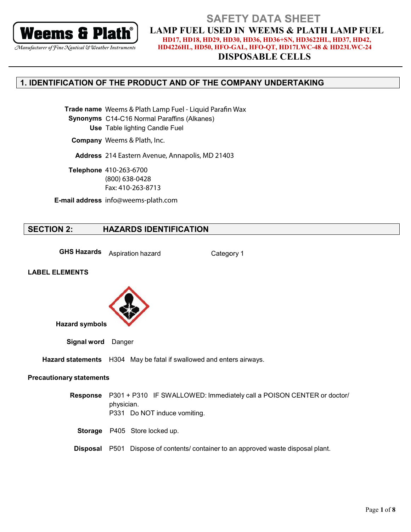

### Manufacturer of Fine Nautical & Weather Instruments

### **SAFETY DATA SHEET LAMP FUEL USED IN WEEMS & PLATH LAMP FUEL** HD17, HD18, HD29, HD30, HD36, HD36+SN, HD3622HL, HD37, HD42, HD4226HL, HD50, HFO-GAL, HFO-QT, HD17LWC-48 & HD23LWC-24

**DISPOSABLE CELLS** 

# 1. IDENTIFICATION OF THE PRODUCT AND OF THE COMPANY UNDERTAKING

Trade name Weems & Plath Lamp Fuel - Liquid Parafin Wax Synonyms C14-C16 Normal Paraffins (Alkanes) Use Table lighting Candle Fuel

Company Weems & Plath, Inc.

Address 214 Eastern Avenue, Annapolis, MD 21403

Telephone 410-263-6700  $(800)$  638-0428 Fax: 410-263-8713

E-mail address info@weems-plath.com

#### **SECTION 2: HAZARDS IDENTIFICATION**

**GHS Hazards** Aspiration hazard

Category 1

### **LABEL ELEMENTS**



Signal word Danger

Hazard statements H304 May be fatal if swallowed and enters airways.

### **Precautionary statements**

Response P301 + P310 IF SWALLOWED: Immediately call a POISON CENTER or doctor/ physician. P331 Do NOT induce vomiting.

Storage P405 Store locked up.

**Disposal** P501 Dispose of contents/ container to an approved waste disposal plant.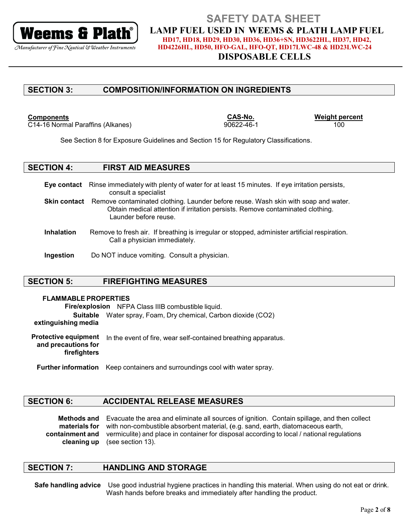

### **DISPOSABLE CELLS**

#### **SECTION 3: COMPOSITION/INFORMATION ON INGREDIENTS**

### **Components**

C14-16 Normal Paraffins (Alkanes)

CAS-No. 90622-46-1 **Weight percent** 100

See Section 8 for Exposure Guidelines and Section 15 for Regulatory Classifications.

#### **SECTION 4: FIRST AID MEASURES**

Eye contact Rinse immediately with plenty of water for at least 15 minutes. If eye irritation persists, consult a specialist **Skin contact** Remove contaminated clothing. Launder before reuse. Wash skin with soap and water. Obtain medical attention if irritation persists. Remove contaminated clothing. Launder before reuse

- **Inhalation** Remove to fresh air. If breathing is irregular or stopped, administer artificial respiration. Call a physician immediately.
- Ingestion Do NOT induce vomiting. Consult a physician.

#### **SECTION 5: FIREFIGHTING MEASURES**

### **FLAMMABLE PROPERTIES**

Fire/explosion NFPA Class IIIB combustible liquid. Suitable Water spray, Foam, Dry chemical, Carbon dioxide (CO2) extinguishing media **Protective equipment** In the event of fire, wear self-contained breathing apparatus. and precautions for firefighters

**Further information** Keep containers and surroundings cool with water spray.

#### **SECTION 6: ACCIDENTAL RELEASE MEASURES**

Methods and Evacuate the area and eliminate all sources of ignition. Contain spillage, and then collect materials for with non-combustible absorbent material, (e.g. sand, earth, diatomaceous earth, vermiculite) and place in container for disposal according to local / national regulations containment and (see section 13). cleaning up

#### **SECTION 7: HANDLING AND STORAGE**

Safe handling advice Use good industrial hygiene practices in handling this material. When using do not eat or drink. Wash hands before breaks and immediately after handling the product.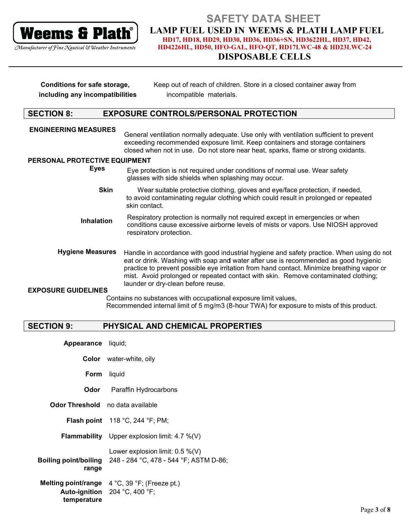

### Manufacturer of Fine Nautical & Weather Instruments

### **SAFETY DATA SHEET LAMP FUEL USED IN WEEMS & PLATH LAMP FUEL** HD17, HD18, HD29, HD30, HD36, HD36+SN, HD3622HL, HD37, HD42, HD4226HL, HD50, HFO-GAL, HFO-QT, HD17LWC-48 & HD23LWC-24

# **DISPOSABLE CELLS**

| Conditions for safe storage,    | Keep out of reach of children. Store in a closed container away from |
|---------------------------------|----------------------------------------------------------------------|
| including any incompatibilities | incompatible materials.                                              |

#### **SECTION 8: EXPOSURE CONTROLS/PERSONAL PROTECTION**

**ENGINEERING MEASURES** General ventilation normally adequate. Use only with ventilation sufficient to prevent exceeding recommended exposure limit. Keep containers and storage containers closed when not in use. Do not store near heat, sparks, flame or strong oxidants.

### PERSONAL PROTECTIVE EQUIPMENT

**Eyes** Eye protection is not required under conditions of normal use. Wear safety glasses with side shields when splashing may occur.

- **Skin** Wear suitable protective clothing, gloves and eye/face protection, if needed, to avoid contaminating regular clothing which could result in prolonged or repeated skin contact.
- Respiratory protection is normally not required except in emergencies or when **Inhalation** conditions cause excessive airborne levels of mists or vapors. Use NIOSH approved respiratory protection.
- **Hygiene Measures** Handle in accordance with good industrial hygiene and safety practice. When using do not eat or drink. Washing with soap and water after use is recommended as good hygienic practice to prevent possible eye irritation from hand contact. Minimize breathing vapor or mist. Avoid prolonged or repeated contact with skin. Remove contaminated clothing; launder or dry-clean before reuse.

### **EXPOSURE GUIDELINES**

Contains no substances with occupational exposure limit values, Recommended internal limit of 5 mg/m3 (8-hour TWA) for exposure to mists of this product.

#### **SECTION 9:** PHYSICAL AND CHEMICAL PROPERTIES

| Appearance liquid;                      |                                                                                                           |
|-----------------------------------------|-----------------------------------------------------------------------------------------------------------|
|                                         | <b>Color</b> water-white, oily                                                                            |
| <b>Form</b> liquid                      |                                                                                                           |
| Odor                                    | Paraffin Hydrocarbons                                                                                     |
| <b>Odor Threshold</b> no data available |                                                                                                           |
|                                         | <b>Flash point</b> $118 \degree C$ , 244 $\degree F$ ; PM;                                                |
|                                         | <b>Flammability</b> Upper explosion limit: $4.7\%$ (V)                                                    |
| range                                   | Lower explosion limit: $0.5\%$ (V)<br><b>Boiling point/boiling</b> 248 - 284 °C, 478 - 544 °F; ASTM D-86; |
| temperature                             | <b>Melting point/range</b> $4^{\circ}C$ , 39 $^{\circ}F$ ; (Freeze pt.)<br>Auto-ignition 204 °C, 400 °F;  |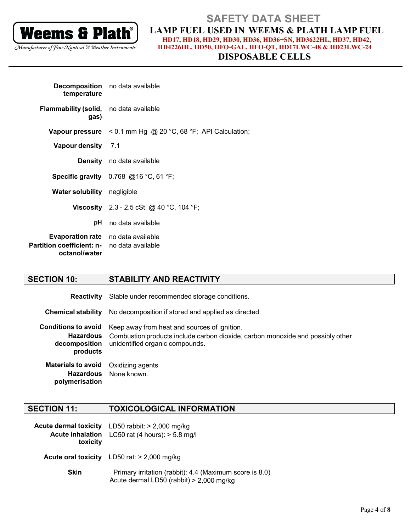

### **DISPOSABLE CELLS**

| temperature                                                                                               | <b>Decomposition</b> no data available                                |
|-----------------------------------------------------------------------------------------------------------|-----------------------------------------------------------------------|
| <b>Flammability (solid,</b> no data available<br>gas)                                                     |                                                                       |
|                                                                                                           | <b>Vapour pressure</b> < $0.1$ mm Hg @ 20 °C, 68 °F; API Calculation; |
| Vapour density 7.1                                                                                        |                                                                       |
|                                                                                                           | <b>Density</b> no data available                                      |
|                                                                                                           | <b>Specific gravity</b> $0.768$ @16 °C, 61 °F;                        |
| Water solubility negligible                                                                               |                                                                       |
|                                                                                                           | <b>Viscosity</b> 2.3 - 2.5 cSt @ 40 °C, 104 °F;                       |
| рH                                                                                                        | no data available                                                     |
| <b>Evaporation rate</b> no data available<br>Partition coefficient: n- no data available<br>octanol/water |                                                                       |

#### **SECTION 10: STABILITY AND REACTIVITY**

Reactivity Stable under recommended storage conditions.

**Chemical stability** No decomposition if stored and applied as directed.

**Conditions to avoid** Keep away from heat and sources of ignition. **Hazardous** Combustion products include carbon dioxide, carbon monoxide and possibly other decomposition unidentified organic compounds. products **Materials to avoid** Oxidizing agents **Hazardous** None known.

**SECTION 11: TOXICOLOGICAL INFORMATION** 

polymerisation

| toxicity    | Acute dermal toxicity LD50 rabbit: > 2,000 mg/kg<br>Acute inhalation LC50 rat (4 hours): > 5.8 mg/l   |  |
|-------------|-------------------------------------------------------------------------------------------------------|--|
|             | <b>Acute oral toxicity</b> LD50 rat: $> 2,000$ mg/kg                                                  |  |
| <b>Skin</b> | Primary irritation (rabbit): 4.4 (Maximum score is 8.0)<br>Acute dermal LD50 (rabbit) $> 2,000$ mg/kg |  |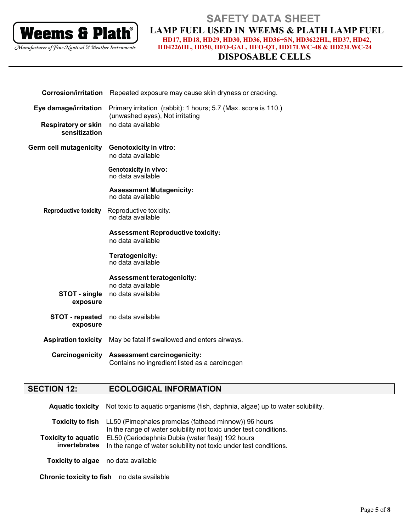

**DISPOSABLE CELLS** 

| <b>Corrosion/irritation</b>                 | Repeated exposure may cause skin dryness or cracking.                                             |  |  |
|---------------------------------------------|---------------------------------------------------------------------------------------------------|--|--|
| Eye damage/irritation                       | Primary irritation (rabbit): 1 hours; 5.7 (Max. score is 110.)<br>(unwashed eyes), Not irritating |  |  |
| <b>Respiratory or skin</b><br>sensitization | no data available                                                                                 |  |  |
| <b>Germ cell mutagenicity</b>               | <b>Genotoxicity in vitro:</b><br>no data available                                                |  |  |
|                                             | <b>Genotoxicity in vivo:</b><br>no data available                                                 |  |  |
|                                             | <b>Assessment Mutagenicity:</b><br>no data available                                              |  |  |
| <b>Reproductive toxicity</b>                | Reproductive toxicity:<br>no data available                                                       |  |  |
|                                             | <b>Assessment Reproductive toxicity:</b><br>no data available                                     |  |  |
|                                             | Teratogenicity:<br>no data available                                                              |  |  |
|                                             | <b>Assessment teratogenicity:</b>                                                                 |  |  |
| STOT - single<br>exposure                   | no data available<br>no data available                                                            |  |  |
| <b>STOT</b> - repeated<br>exposure          | no data available                                                                                 |  |  |
| <b>Aspiration toxicity</b>                  | May be fatal if swallowed and enters airways.                                                     |  |  |
| Carcinogenicity                             | <b>Assessment carcinogenicity:</b><br>Contains no ingredient listed as a carcinogen               |  |  |

#### **SECTION 12: ECOLOGICAL INFORMATION**

**Aquatic toxicity** Not toxic to aquatic organisms (fish, daphnia, algae) up to water solubility.

Toxicity to fish LL50 (Pimephales promelas (fathead minnow)) 96 hours In the range of water solubility not toxic under test conditions. **Toxicity to aquatic** EL50 (Ceriodaphnia Dubia (water flea)) 192 hours invertebrates In the range of water solubility not toxic under test conditions. Toxicity to algae no data available

Chronic toxicity to fish no data available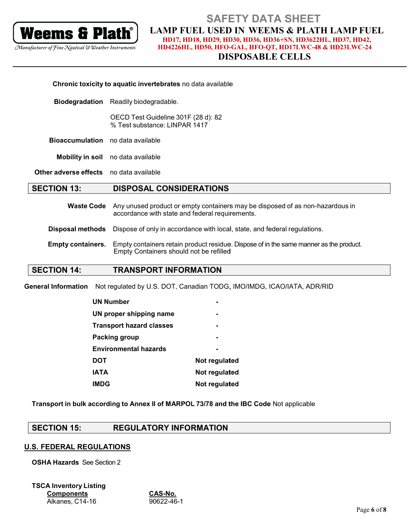

### **DISPOSABLE CELLS**

| Chronic toxicity to aquatic invertebrates no data available |                                                                                                                                   |  |
|-------------------------------------------------------------|-----------------------------------------------------------------------------------------------------------------------------------|--|
| <b>Biodegradation</b>                                       | Readily biodegradable.                                                                                                            |  |
|                                                             | OECD Test Guideline 301F (28 d): 82<br>% Test substance: LINPAR 1417                                                              |  |
| <b>Bioaccumulation</b> no data available                    |                                                                                                                                   |  |
|                                                             | Mobility in soil no data available                                                                                                |  |
| <b>Other adverse effects</b> no data available              |                                                                                                                                   |  |
| <b>SECTION 13:</b>                                          | <b>DISPOSAL CONSIDERATIONS</b>                                                                                                    |  |
| <b>Waste Code</b>                                           | Any unused product or empty containers may be disposed of as non-hazardous in<br>accordance with state and federal requirements.  |  |
| <b>Disposal methods</b>                                     | Dispose of only in accordance with local, state, and federal regulations.                                                         |  |
| <b>Empty containers.</b>                                    | Empty containers retain product residue. Dispose of in the same manner as the product.<br>Empty Containers should not be refilled |  |
| <b>SECTION 14:</b>                                          | <b>TRANSPORT INFORMATION</b>                                                                                                      |  |

General Information Not regulated by U.S. DOT, Canadian TODG, IMO/IMDG, ICAO/IATA, ADR/RID

| <b>UN Number</b>                |               |
|---------------------------------|---------------|
| UN proper shipping name         |               |
| <b>Transport hazard classes</b> |               |
| Packing group                   |               |
| <b>Environmental hazards</b>    |               |
| <b>DOT</b>                      | Not regulated |
| <b>IATA</b>                     | Not regulated |
| <b>IMDG</b>                     | Not regulated |

Transport in bulk according to Annex II of MARPOL 73/78 and the IBC Code Not applicable

#### **SECTION 15: REGULATORY INFORMATION**

### **U.S. FEDERAL REGULATIONS**

**OSHA Hazards** See Section 2

**TSCA Inventory Listing Components** Alkanes, C14-16

CAS-No.  $\overline{90622 - 46 - 1}$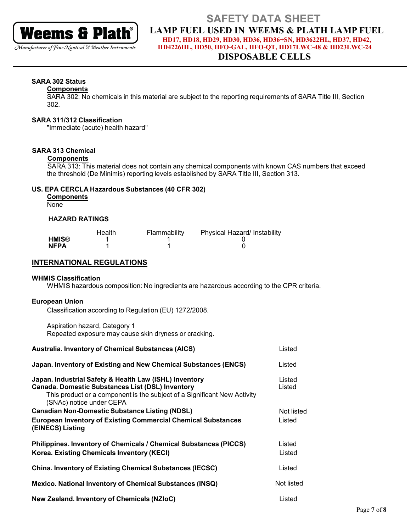

### Manufacturer of Fine Nautical & Weather Instruments

## **SAFETY DATA SHEET LAMP FUEL USED IN WEEMS & PLATH LAMP FUEL** HD17, HD18, HD29, HD30, HD36, HD36+SN, HD3622HL, HD37, HD42,

HD4226HL, HD50, HFO-GAL, HFO-QT, HD17LWC-48 & HD23LWC-24

### **DISPOSABLE CELLS**

### **SARA 302 Status**

### **Components**

SARA 302: No chemicals in this material are subject to the reporting requirements of SARA Title III, Section 302.

### **SARA 311/312 Classification**

"Immediate (acute) health hazard"

### **SARA 313 Chemical**

### **Components**

SARA 313: This material does not contain any chemical components with known CAS numbers that exceed the threshold (De Minimis) reporting levels established by SARA Title III, Section 313.

### US. EPA CERCLA Hazardous Substances (40 CFR 302)

|         | <b>Components</b> |
|---------|-------------------|
| $N = 2$ |                   |

None

### **HAZARD RATINGS**

|             | Health | Flammability | Physical Hazard/ Instability |
|-------------|--------|--------------|------------------------------|
| HMIS®       |        |              |                              |
| <b>NFPA</b> |        |              |                              |

### **INTERNATIONAL REGULATIONS**

### **WHMIS Classification**

WHMIS hazardous composition: No ingredients are hazardous according to the CPR criteria.

### **European Union**

Classification according to Regulation (EU) 1272/2008.

Aspiration hazard, Category 1 Repeated exposure may cause skin dryness or cracking.

| <b>Australia. Inventory of Chemical Substances (AICS)</b>                                                                                                                                                                 | Listed           |
|---------------------------------------------------------------------------------------------------------------------------------------------------------------------------------------------------------------------------|------------------|
| Japan. Inventory of Existing and New Chemical Substances (ENCS)                                                                                                                                                           | Listed           |
| Japan. Industrial Safety & Health Law (ISHL) Inventory<br><b>Canada. Domestic Substances List (DSL) Inventory</b><br>This product or a component is the subject of a Significant New Activity<br>(SNAc) notice under CEPA | Listed<br>Listed |
| <b>Canadian Non-Domestic Substance Listing (NDSL)</b>                                                                                                                                                                     | Not listed       |
| <b>European Inventory of Existing Commercial Chemical Substances</b><br>(EINECS) Listing                                                                                                                                  | Listed           |
| Philippines. Inventory of Chemicals / Chemical Substances (PICCS)<br>Korea. Existing Chemicals Inventory (KECI)                                                                                                           | Listed<br>Listed |
| <b>China. Inventory of Existing Chemical Substances (IECSC)</b>                                                                                                                                                           | Listed           |
| <b>Mexico. National Inventory of Chemical Substances (INSQ)</b>                                                                                                                                                           | Not listed       |
| <b>New Zealand. Inventory of Chemicals (NZIoC)</b>                                                                                                                                                                        | Listed           |